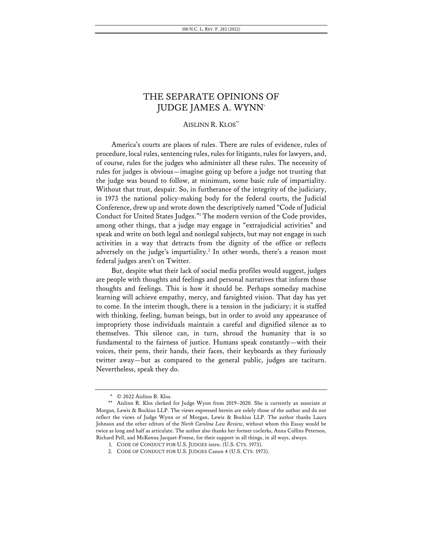# THE SEPARATE OPINIONS OF JUDGE JAMES A. WYNN\*

## AISLINN R. KLOS\*\*

America's courts are places of rules. There are rules of evidence, rules of procedure, local rules, sentencing rules, rules for litigants, rules for lawyers, and, of course, rules for the judges who administer all these rules. The necessity of rules for judges is obvious—imagine going up before a judge not trusting that the judge was bound to follow, at minimum, some basic rule of impartiality. Without that trust, despair. So, in furtherance of the integrity of the judiciary, in 1973 the national policy-making body for the federal courts, the Judicial Conference, drew up and wrote down the descriptively named "Code of Judicial Conduct for United States Judges."1 The modern version of the Code provides, among other things, that a judge may engage in "extrajudicial activities" and speak and write on both legal and nonlegal subjects, but may not engage in such activities in a way that detracts from the dignity of the office or reflects adversely on the judge's impartiality.<sup>2</sup> In other words, there's a reason most federal judges aren't on Twitter.

But, despite what their lack of social media profiles would suggest, judges are people with thoughts and feelings and personal narratives that inform those thoughts and feelings. This is how it should be. Perhaps someday machine learning will achieve empathy, mercy, and farsighted vision. That day has yet to come. In the interim though, there is a tension in the judiciary; it is staffed with thinking, feeling, human beings, but in order to avoid any appearance of impropriety those individuals maintain a careful and dignified silence as to themselves. This silence can, in turn, shroud the humanity that is so fundamental to the fairness of justice. Humans speak constantly—with their voices, their pens, their hands, their faces, their keyboards as they furiously twitter away—but as compared to the general public, judges are taciturn. Nevertheless, speak they do.

 $\degree$   $\degree$  2022 Aislinn R. Klos.

<sup>\*\*</sup> Aislinn R. Klos clerked for Judge Wynn from 2019–2020. She is currently an associate at Morgan, Lewis & Bockius LLP. The views expressed herein are solely those of the author and do not reflect the views of Judge Wynn or of Morgan, Lewis & Bockius LLP. The author thanks Laura Johnson and the other editors of the *North Carolina Law Review*, without whom this Essay would be twice as long and half as articulate. The author also thanks her former coclerks, Anna Collins Peterson, Richard Pell, and McKenna Jacquet-Freese, for their support in all things, in all ways, always.

<sup>1.</sup> CODE OF CONDUCT FOR U.S. JUDGES intro. (U.S. CTS. 1973).

<sup>2.</sup> CODE OF CONDUCT FOR U.S. JUDGES Canon 4 (U.S. CTS. 1973).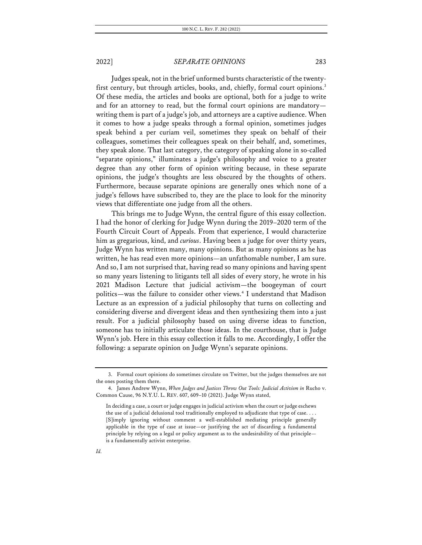Judges speak, not in the brief unformed bursts characteristic of the twentyfirst century, but through articles, books, and, chiefly, formal court opinions.<sup>3</sup> Of these media, the articles and books are optional, both for a judge to write and for an attorney to read, but the formal court opinions are mandatory writing them is part of a judge's job, and attorneys are a captive audience. When it comes to how a judge speaks through a formal opinion, sometimes judges speak behind a per curiam veil, sometimes they speak on behalf of their colleagues, sometimes their colleagues speak on their behalf, and, sometimes, they speak alone. That last category, the category of speaking alone in so-called "separate opinions," illuminates a judge's philosophy and voice to a greater degree than any other form of opinion writing because, in these separate opinions, the judge's thoughts are less obscured by the thoughts of others. Furthermore, because separate opinions are generally ones which none of a judge's fellows have subscribed to, they are the place to look for the minority views that differentiate one judge from all the others.

This brings me to Judge Wynn, the central figure of this essay collection. I had the honor of clerking for Judge Wynn during the 2019–2020 term of the Fourth Circuit Court of Appeals. From that experience, I would characterize him as gregarious, kind, and *curious*. Having been a judge for over thirty years, Judge Wynn has written many, many opinions. But as many opinions as he has written, he has read even more opinions—an unfathomable number, I am sure. And so, I am not surprised that, having read so many opinions and having spent so many years listening to litigants tell all sides of every story, he wrote in his 2021 Madison Lecture that judicial activism—the boogeyman of court politics—was the failure to consider other views.4 I understand that Madison Lecture as an expression of a judicial philosophy that turns on collecting and considering diverse and divergent ideas and then synthesizing them into a just result. For a judicial philosophy based on using diverse ideas to function, someone has to initially articulate those ideas. In the courthouse, that is Judge Wynn's job. Here in this essay collection it falls to me. Accordingly, I offer the following: a separate opinion on Judge Wynn's separate opinions.

<sup>3.</sup> Formal court opinions do sometimes circulate on Twitter, but the judges themselves are not the ones posting them there.

<sup>4.</sup> James Andrew Wynn, When Judges and Justices Throw Out Tools: Judicial Activism in Rucho v. Common Cause, 96 N.Y.U. L. REV. 607, 609–10 (2021). Judge Wynn stated,

In deciding a case, a court or judge engages in judicial activism when the court or judge eschews the use of a judicial delusional tool traditionally employed to adjudicate that type of case. . . . [S]imply ignoring without comment a well-established mediating principle generally applicable in the type of case at issue—or justifying the act of discarding a fundamental principle by relying on a legal or policy argument as to the undesirability of that principle is a fundamentally activist enterprise.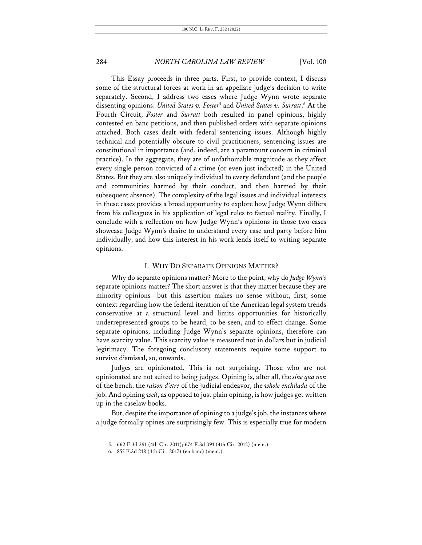This Essay proceeds in three parts. First, to provide context, I discuss some of the structural forces at work in an appellate judge's decision to write separately. Second, I address two cases where Judge Wynn wrote separate dissenting opinions: *United States v. Foster*<sup>5</sup> and *United States v. Surratt*. <sup>6</sup> At the Fourth Circuit, *Foster* and *Surratt* both resulted in panel opinions, highly contested en banc petitions, and then published orders with separate opinions attached. Both cases dealt with federal sentencing issues. Although highly technical and potentially obscure to civil practitioners, sentencing issues are constitutional in importance (and, indeed, are a paramount concern in criminal practice). In the aggregate, they are of unfathomable magnitude as they affect every single person convicted of a crime (or even just indicted) in the United States. But they are also uniquely individual to every defendant (and the people and communities harmed by their conduct, and then harmed by their subsequent absence). The complexity of the legal issues and individual interests in these cases provides a broad opportunity to explore how Judge Wynn differs from his colleagues in his application of legal rules to factual reality. Finally, I conclude with a reflection on how Judge Wynn's opinions in those two cases showcase Judge Wynn's desire to understand every case and party before him individually, and how this interest in his work lends itself to writing separate opinions.

### I. WHY DO SEPARATE OPINIONS MATTER?

Why do separate opinions matter? More to the point, why do *Judge Wynn's*  separate opinions matter? The short answer is that they matter because they are minority opinions—but this assertion makes no sense without, first, some context regarding how the federal iteration of the American legal system trends conservative at a structural level and limits opportunities for historically underrepresented groups to be heard, to be seen, and to effect change. Some separate opinions, including Judge Wynn's separate opinions, therefore can have scarcity value. This scarcity value is measured not in dollars but in judicial legitimacy. The foregoing conclusory statements require some support to survive dismissal, so, onwards.

Judges are opinionated. This is not surprising. Those who are not opinionated are not suited to being judges. Opining is, after all, the *sine qua non*  of the bench, the *raison d'etre* of the judicial endeavor, the *whole enchilada* of the job. And opining *well*, as opposed to just plain opining, is how judges get written up in the caselaw books.

But, despite the importance of opining to a judge's job, the instances where a judge formally opines are surprisingly few. This is especially true for modern

<sup>5.</sup> 662 F.3d 291 (4th Cir. 2011); 674 F.3d 391 (4th Cir. 2012) (mem.).

<sup>6.</sup> 855 F.3d 218 (4th Cir. 2017) (en banc) (mem.).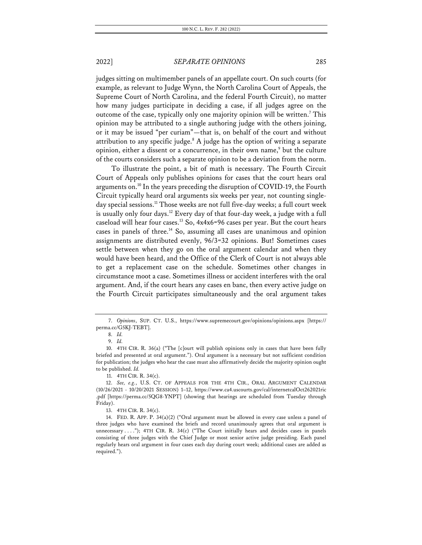judges sitting on multimember panels of an appellate court. On such courts (for example, as relevant to Judge Wynn, the North Carolina Court of Appeals, the Supreme Court of North Carolina, and the federal Fourth Circuit), no matter how many judges participate in deciding a case, if all judges agree on the outcome of the case, typically only one majority opinion will be written.<sup>7</sup> This opinion may be attributed to a single authoring judge with the others joining, or it may be issued "per curiam"—that is, on behalf of the court and without attribution to any specific judge. $8$  A judge has the option of writing a separate opinion, either a dissent or a concurrence, in their own name,<sup>9</sup> but the culture of the courts considers such a separate opinion to be a deviation from the norm.

To illustrate the point, a bit of math is necessary. The Fourth Circuit Court of Appeals only publishes opinions for cases that the court hears oral arguments on.10 In the years preceding the disruption of COVID-19, the Fourth Circuit typically heard oral arguments six weeks per year, not counting singleday special sessions.<sup>11</sup> Those weeks are not full five-day weeks; a full court week is usually only four days.<sup>12</sup> Every day of that four-day week, a judge with a full caseload will hear four cases.<sup>13</sup> So,  $4x4x6=96$  cases per year. But the court hears cases in panels of three.<sup>14</sup> So, assuming all cases are unanimous and opinion assignments are distributed evenly, 96/3=32 opinions. But! Sometimes cases settle between when they go on the oral argument calendar and when they would have been heard, and the Office of the Clerk of Court is not always able to get a replacement case on the schedule. Sometimes other changes in circumstance moot a case. Sometimes illness or accident interferes with the oral argument. And, if the court hears any cases en banc, then every active judge on the Fourth Circuit participates simultaneously and the oral argument takes

<sup>7.</sup> *Opinions*, SUP. CT. U.S., https://www.supremecourt.gov/opinions/opinions.aspx [https:// perma.cc/G5KJ-TEBT].

<sup>8.</sup> *Id.*

<sup>9.</sup> *Id.*

<sup>10.</sup> 4TH CIR. R. 36(a) ("The [c]ourt will publish opinions only in cases that have been fully briefed and presented at oral argument."). Oral argument is a necessary but not sufficient condition for publication; the judges who hear the case must also affirmatively decide the majority opinion ought to be published. *Id.*

<sup>11.</sup> 4TH CIR. R. 34(c).

<sup>12.</sup> *See, e.g.*, U.S. CT. OF APPEALS FOR THE 4TH CIR., ORAL ARGUMENT CALENDAR (10/26/2021 - 10/20/2021 SESSION) 1–12, https://www.ca4.uscourts.gov/cal/internetcalOct262021ric .pdf [https://perma.cc/5QG8-YNPT] (showing that hearings are scheduled from Tuesday through Friday).

<sup>13.</sup> 4TH CIR. R. 34(c).

<sup>14.</sup> FED. R. APP. P. 34(a)(2) ("Oral argument must be allowed in every case unless a panel of three judges who have examined the briefs and record unanimously agrees that oral argument is unnecessary . . . ."); 4TH CIR. R. 34(c) ("The Court initially hears and decides cases in panels consisting of three judges with the Chief Judge or most senior active judge presiding. Each panel regularly hears oral argument in four cases each day during court week; additional cases are added as required.").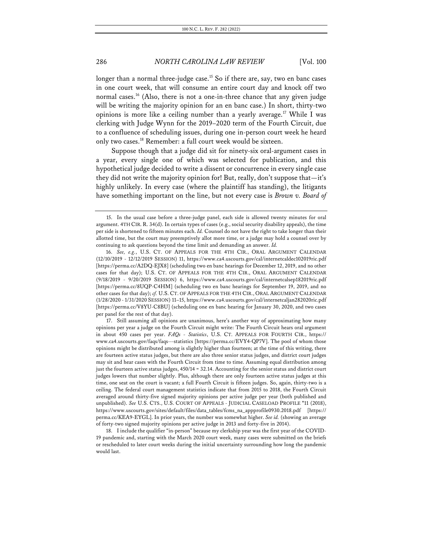longer than a normal three-judge case.<sup>15</sup> So if there are, say, two en banc cases in one court week, that will consume an entire court day and knock off two normal cases.<sup>16</sup> (Also, there is not a one-in-three chance that any given judge will be writing the majority opinion for an en banc case.) In short, thirty-two opinions is more like a ceiling number than a yearly average.<sup>17</sup> While I was clerking with Judge Wynn for the 2019–2020 term of the Fourth Circuit, due to a confluence of scheduling issues, during one in-person court week he heard only two cases.<sup>18</sup> Remember: a full court week would be sixteen.

Suppose though that a judge did sit for ninety-six oral-argument cases in a year, every single one of which was selected for publication, and this hypothetical judge decided to write a dissent or concurrence in every single case they did not write the majority opinion for! But, really, don't suppose that—it's highly unlikely. In every case (where the plaintiff has standing), the litigants have something important on the line, but not every case is *Brown v. Board of* 

<sup>15.</sup> In the usual case before a three-judge panel, each side is allowed twenty minutes for oral argument. 4TH CIR. R. 34(d). In certain types of cases (e.g., social security disability appeals), the time per side is shortened to fifteen minutes each. *Id.* Counsel do not have the right to take longer than their allotted time, but the court may preemptively allot more time, or a judge may hold a counsel over by continuing to ask questions beyond the time limit and demanding an answer. *Id.*

<sup>16.</sup> *See, e.g.*, U.S. CT. OF APPEALS FOR THE 4TH CIR., ORAL ARGUMENT CALENDAR (12/10/2019 - 12/12/2019 SESSION) 11, https://www.ca4.uscourts.gov/cal/internetcaldec102019ric.pdf [https://perma.cc/A2DQ-EJX8] (scheduling two en banc hearings for December 12, 2019, and no other cases for that day); U.S. CT. OF APPEALS FOR THE 4TH CIR., ORAL ARGUMENT CALENDAR (9/18/2019 - 9/20/2019 SESSION) 6, https://www.ca4.uscourts.gov/cal/internetcalsep182019ric.pdf [https://perma.cc/8UQP-C4HM] (scheduling two en banc hearings for September 19, 2019, and no other cases for that day); *cf.* U.S. CT. OF APPEALS FOR THE 4TH CIR., ORAL ARGUMENT CALENDAR (1/28/2020 - 1/31/2020 SESSION) 11–15, https://www.ca4.uscourts.gov/cal/internetcaljan282020ric.pdf [https://perma.cc/V8YU-C8BU] (scheduling one en banc hearing for January 30, 2020, and two cases per panel for the rest of that day).

<sup>17.</sup> Still assuming all opinions are unanimous, here's another way of approximating how many opinions per year a judge on the Fourth Circuit might write: The Fourth Circuit hears oral argument in about 450 cases per year. *FAQs - Statistics*, U.S. CT. APPEALS FOR FOURTH CIR., https:// www.ca4.uscourts.gov/faqs/faqs---statistics [https://perma.cc/EVY4-QP7V]. The pool of whom those opinions might be distributed among is slightly higher than fourteen; at the time of this writing, there are fourteen active status judges, but there are also three senior status judges, and district court judges may sit and hear cases with the Fourth Circuit from time to time. Assuming equal distribution among just the fourteen active status judges, 450/14 = 32.14. Accounting for the senior status and district court judges lowers that number slightly. Plus, although there are only fourteen active status judges at this time, one seat on the court is vacant; a full Fourth Circuit is fifteen judges. So, again, thirty-two is a ceiling. The federal court management statistics indicate that from 2015 to 2018, the Fourth Circuit averaged around thirty-five signed majority opinions per active judge per year (both published and unpublished). *See* U.S. CTS., U.S. COURT OF APPEALS - JUDICIAL CASELOAD PROFILE \*11 (2018), https://www.uscourts.gov/sites/default/files/data\_tables/fcms\_na\_appprofile0930.2018.pdf [https:// perma.cc/KEA9-EYGL]. In prior years, the number was somewhat higher. *See id.* (showing an average of forty-two signed majority opinions per active judge in 2013 and forty-five in 2014).

<sup>18.</sup> I include the qualifier "in-person" because my clerkship year was the first year of the COVID-19 pandemic and, starting with the March 2020 court week, many cases were submitted on the briefs or rescheduled to later court weeks during the initial uncertainty surrounding how long the pandemic would last.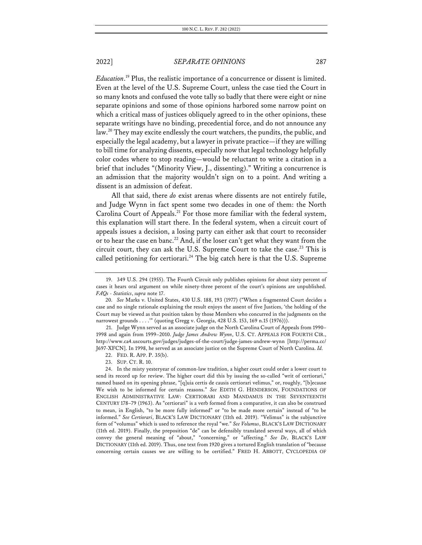*Education*. <sup>19</sup> Plus, the realistic importance of a concurrence or dissent is limited. Even at the level of the U.S. Supreme Court, unless the case tied the Court in so many knots and confused the vote tally so badly that there were eight or nine separate opinions and some of those opinions harbored some narrow point on which a critical mass of justices obliquely agreed to in the other opinions, these separate writings have no binding, precedential force, and do not announce any law.<sup>20</sup> They may excite endlessly the court watchers, the pundits, the public, and especially the legal academy, but a lawyer in private practice—if they are willing to bill time for analyzing dissents, especially now that legal technology helpfully color codes where to stop reading—would be reluctant to write a citation in a brief that includes "(Minority View, J., dissenting)." Writing a concurrence is an admission that the majority wouldn't sign on to a point. And writing a dissent is an admission of defeat.

All that said, there *do* exist arenas where dissents are not entirely futile, and Judge Wynn in fact spent some two decades in one of them: the North Carolina Court of Appeals.<sup>21</sup> For those more familiar with the federal system, this explanation will start there. In the federal system, when a circuit court of appeals issues a decision, a losing party can either ask that court to reconsider or to hear the case en banc.<sup>22</sup> And, if the loser can't get what they want from the circuit court, they can ask the U.S. Supreme Court to take the case.<sup>23</sup> This is called petitioning for certiorari.<sup>24</sup> The big catch here is that the U.S. Supreme

21. Judge Wynn served as an associate judge on the North Carolina Court of Appeals from 1990– 1998 and again from 1999–2010. *Judge James Andrew Wynn*, U.S. CT. APPEALS FOR FOURTH CIR., http://www.ca4.uscourts.gov/judges/judges-of-the-court/judge-james-andrew-wynn [http://perma.cc/ J697-XFCN]. In 1998, he served as an associate justice on the Supreme Court of North Carolina. *Id.*

<sup>19.</sup> 349 U.S. 294 (1955). The Fourth Circuit only publishes opinions for about sixty percent of cases it hears oral argument on while ninety-three percent of the court's opinions are unpublished. *FAQs - Statistics*, *supra* note 17.

<sup>20.</sup> *See* Marks v. United States, 430 U.S. 188, 193 (1977) ("When a fragmented Court decides a case and no single rationale explaining the result enjoys the assent of five Justices, 'the holding of the Court may be viewed as that position taken by those Members who concurred in the judgments on the narrowest grounds . . . .'" (quoting Gregg v. Georgia, 428 U.S. 153, 169 n.15 (1976))).

<sup>22.</sup> FED. R. APP. P. 35(b).

<sup>23.</sup> SUP. CT. R. 10.

<sup>24.</sup> In the misty yesteryear of common-law tradition, a higher court could order a lower court to send its record up for review. The higher court did this by issuing the so-called "writ of certiorari," named based on its opening phrase, "[q]uia certis de causis certiorari velimus," or, roughly, "[b]ecause We wish to be informed for certain reasons." *See* EDITH G. HENDERSON, FOUNDATIONS OF ENGLISH ADMINISTRATIVE LAW: CERTIORARI AND MANDAMUS IN THE SEVENTEENTH CENTURY 178–79 (1963). As "certiorari" is a verb formed from a comparative, it can also be construed to mean, in English, "to be more fully informed" or "to be made more certain" instead of "to be informed." *See Certiorari*, BLACK'S LAW DICTIONARY (11th ed. 2019). "Velimus" is the subjunctive form of "volumus" which is used to reference the royal "we." *See Volumus*, BLACK'S LAW DICTIONARY (11th ed. 2019). Finally, the preposition "de" can be defensibly translated several ways, all of which convey the general meaning of "about," "concerning," or "affecting." *See De*, BLACK'S LAW DICTIONARY (11th ed. 2019). Thus, one text from 1920 gives a tortured English translation of "because concerning certain causes we are willing to be certified." FRED H. ABBOTT, CYCLOPEDIA OF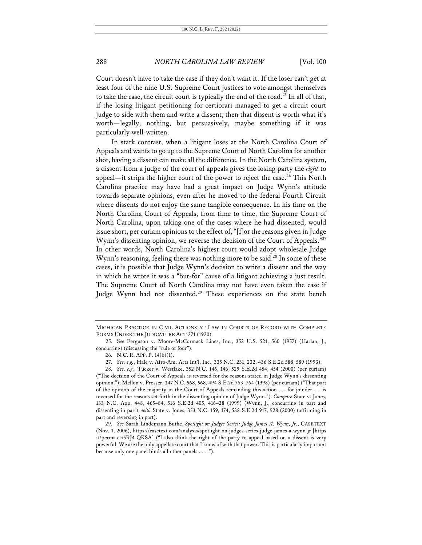Court doesn't have to take the case if they don't want it. If the loser can't get at least four of the nine U.S. Supreme Court justices to vote amongst themselves to take the case, the circuit court is typically the end of the road.<sup>25</sup> In all of that, if the losing litigant petitioning for certiorari managed to get a circuit court judge to side with them and write a dissent, then that dissent is worth what it's worth—legally, nothing, but persuasively, maybe something if it was particularly well-written.

In stark contrast, when a litigant loses at the North Carolina Court of Appeals and wants to go up to the Supreme Court of North Carolina for another shot, having a dissent can make all the difference. In the North Carolina system, a dissent from a judge of the court of appeals gives the losing party the *right* to appeal—it strips the higher court of the power to reject the case.<sup>26</sup> This North Carolina practice may have had a great impact on Judge Wynn's attitude towards separate opinions, even after he moved to the federal Fourth Circuit where dissents do not enjoy the same tangible consequence. In his time on the North Carolina Court of Appeals, from time to time, the Supreme Court of North Carolina, upon taking one of the cases where he had dissented, would issue short, per curiam opinions to the effect of, "[f]or the reasons given in Judge Wynn's dissenting opinion, we reverse the decision of the Court of Appeals."<sup>27</sup> In other words, North Carolina's highest court would adopt wholesale Judge Wynn's reasoning, feeling there was nothing more to be said.<sup>28</sup> In some of these cases, it is possible that Judge Wynn's decision to write a dissent and the way in which he wrote it was a "but-for" cause of a litigant achieving a just result. The Supreme Court of North Carolina may not have even taken the case if Judge Wynn had not dissented.<sup>29</sup> These experiences on the state bench

MICHIGAN PRACTICE IN CIVIL ACTIONS AT LAW IN COURTS OF RECORD WITH COMPLETE FORMS UNDER THE JUDICATURE ACT 271 (1920).

<sup>25.</sup> S*ee* Ferguson v. Moore-McCormack Lines, Inc., 352 U.S. 521, 560 (1957) (Harlan, J., concurring) (discussing the "rule of four").

<sup>26.</sup> N.C. R. APP. P. 14(b)(1).

<sup>27.</sup> *See, e.g.*, Hale v. Afro-Am. Arts Int'l, Inc., 335 N.C. 231, 232, 436 S.E.2d 588, 589 (1993).

<sup>28.</sup> *See, e.g.*, Tucker v. Westlake, 352 N.C. 146, 146, 529 S.E.2d 454, 454 (2000) (per curiam) ("The decision of the Court of Appeals is reversed for the reasons stated in Judge Wynn's dissenting opinion."); Mellon v. Prosser, 347 N.C. 568, 568, 494 S.E.2d 763, 764 (1998) (per curiam) ("That part of the opinion of the majority in the Court of Appeals remanding this action . . . for joinder . . . is reversed for the reasons set forth in the dissenting opinion of Judge Wynn."). *Compare* State v. Jones, 133 N.C. App. 448, 465–84, 516 S.E.2d 405, 416–28 (1999) (Wynn, J., concurring in part and dissenting in part), *with* State v. Jones, 353 N.C. 159, 174, 538 S.E.2d 917, 928 (2000) (affirming in part and reversing in part).

<sup>29.</sup> *See* Sarah Lindemann Buthe, *Spotlight on Judges Series: Judge James A. Wynn, Jr.*, CASETEXT (Nov. 1, 2006), https://casetext.com/analysis/spotlight-on-judges-series-judge-james-a-wynn-jr [https ://perma.cc/5RJ4-QKSA] ("I also think the right of the party to appeal based on a dissent is very powerful. We are the only appellate court that I know of with that power. This is particularly important because only one panel binds all other panels . . . .").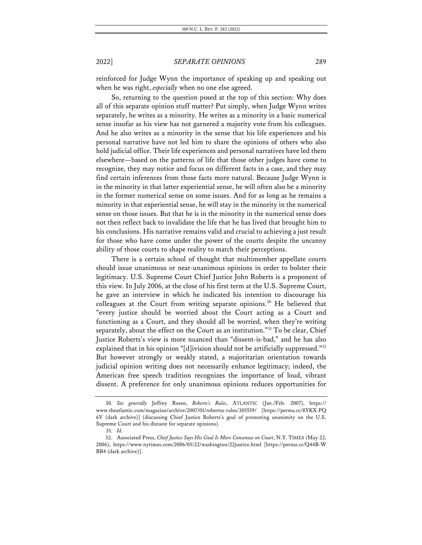reinforced for Judge Wynn the importance of speaking up and speaking out when he was right, *especially* when no one else agreed.

So, returning to the question posed at the top of this section: Why does all of this separate opinion stuff matter? Put simply, when Judge Wynn writes separately, he writes as a minority. He writes as a minority in a basic numerical sense insofar as his view has not garnered a majority vote from his colleagues. And he also writes as a minority in the sense that his life experiences and his personal narrative have not led him to share the opinions of others who also hold judicial office. Their life experiences and personal narratives have led them elsewhere—based on the patterns of life that those other judges have come to recognize, they may notice and focus on different facts in a case, and they may find certain inferences from those facts more natural. Because Judge Wynn is in the minority in that latter experiential sense, he will often also be a minority in the former numerical sense on some issues. And for as long as he remains a minority in that experiential sense, he will stay in the minority in the numerical sense on those issues. But that he is in the minority in the numerical sense does not then reflect back to invalidate the life that he has lived that brought him to his conclusions. His narrative remains valid and crucial to achieving a just result for those who have come under the power of the courts despite the uncanny ability of those courts to shape reality to match their perceptions.

There is a certain school of thought that multimember appellate courts should issue unanimous or near-unanimous opinions in order to bolster their legitimacy. U.S. Supreme Court Chief Justice John Roberts is a proponent of this view. In July 2006, at the close of his first term at the U.S. Supreme Court, he gave an interview in which he indicated his intention to discourage his colleagues at the Court from writing separate opinions.<sup>30</sup> He believed that "every justice should be worried about the Court acting as a Court and functioning as a Court, and they should all be worried, when they're writing separately, about the effect on the Court as an institution."<sup>31</sup> To be clear, Chief Justice Roberts's view is more nuanced than "dissent-is-bad," and he has also explained that in his opinion "[d]ivision should not be artificially suppressed." $32$ But however strongly or weakly stated, a majoritarian orientation towards judicial opinion writing does not necessarily enhance legitimacy; indeed, the American free speech tradition recognizes the importance of loud, vibrant dissent. A preference for only unanimous opinions reduces opportunities for

<sup>30.</sup> *See generally* Jeffrey Rosen, *Roberts's Rules*, ATLANTIC (Jan./Feb. 2007), https:// www.theatlantic.com/magazine/archive/2007/01/robertss-rules/305559/ [https://perma.cc/8YKX-PQ 6V (dark archive)] (discussing Chief Justice Roberts's goal of promoting unanimity on the U.S. Supreme Court and his distaste for separate opinions).

<sup>31.</sup> *Id.*

<sup>32.</sup> Associated Press, *Chief Justice Says His Goal Is More Consensus on Court*, N.Y. TIMES (May 22, 2006), https://www.nytimes.com/2006/05/22/washington/22justice.html [https://perma.cc/Q44B-W BB4 (dark archive)].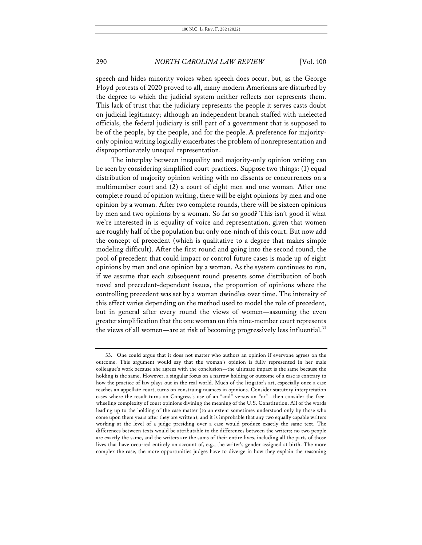speech and hides minority voices when speech does occur, but, as the George Floyd protests of 2020 proved to all, many modern Americans are disturbed by the degree to which the judicial system neither reflects nor represents them. This lack of trust that the judiciary represents the people it serves casts doubt on judicial legitimacy; although an independent branch staffed with unelected officials, the federal judiciary is still part of a government that is supposed to be of the people, by the people, and for the people.A preference for majorityonly opinion writing logically exacerbates the problem of nonrepresentation and disproportionately unequal representation.

The interplay between inequality and majority-only opinion writing can be seen by considering simplified court practices. Suppose two things: (1) equal distribution of majority opinion writing with no dissents or concurrences on a multimember court and (2) a court of eight men and one woman. After one complete round of opinion writing, there will be eight opinions by men and one opinion by a woman. After two complete rounds, there will be sixteen opinions by men and two opinions by a woman. So far so good? This isn't good if what we're interested in is equality of voice and representation, given that women are roughly half of the population but only one-ninth of this court. But now add the concept of precedent (which is qualitative to a degree that makes simple modeling difficult). After the first round and going into the second round, the pool of precedent that could impact or control future cases is made up of eight opinions by men and one opinion by a woman. As the system continues to run, if we assume that each subsequent round presents some distribution of both novel and precedent-dependent issues, the proportion of opinions where the controlling precedent was set by a woman dwindles over time. The intensity of this effect varies depending on the method used to model the role of precedent, but in general after every round the views of women—assuming the even greater simplification that the one woman on this nine-member court represents the views of all women—are at risk of becoming progressively less influential.<sup>33</sup>

<sup>33.</sup> One could argue that it does not matter who authors an opinion if everyone agrees on the outcome. This argument would say that the woman's opinion is fully represented in her male colleague's work because she agrees with the conclusion—the ultimate impact is the same because the holding is the same. However, a singular focus on a narrow holding or outcome of a case is contrary to how the practice of law plays out in the real world. Much of the litigator's art, especially once a case reaches an appellate court, turns on construing nuances in opinions. Consider statutory interpretation cases where the result turns on Congress's use of an "and" versus an "or"—then consider the freewheeling complexity of court opinions divining the meaning of the U.S. Constitution. All of the words leading up to the holding of the case matter (to an extent sometimes understood only by those who come upon them years after they are written), and it is improbable that any two equally capable writers working at the level of a judge presiding over a case would produce exactly the same text. The differences between texts would be attributable to the differences between the writers; no two people are exactly the same, and the writers are the sums of their entire lives, including all the parts of those lives that have occurred entirely on account of, e.g., the writer's gender assigned at birth. The more complex the case, the more opportunities judges have to diverge in how they explain the reasoning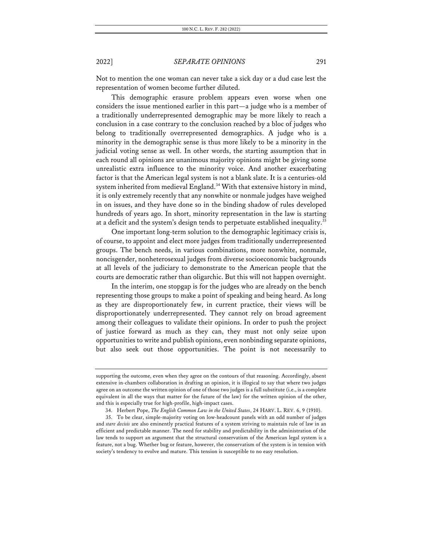Not to mention the one woman can never take a sick day or a dud case lest the representation of women become further diluted.

This demographic erasure problem appears even worse when one considers the issue mentioned earlier in this part—a judge who is a member of a traditionally underrepresented demographic may be more likely to reach a conclusion in a case contrary to the conclusion reached by a bloc of judges who belong to traditionally overrepresented demographics. A judge who is a minority in the demographic sense is thus more likely to be a minority in the judicial voting sense as well. In other words, the starting assumption that in each round all opinions are unanimous majority opinions might be giving some unrealistic extra influence to the minority voice. And another exacerbating factor is that the American legal system is not a blank slate. It is a centuries-old system inherited from medieval England.<sup>34</sup> With that extensive history in mind, it is only extremely recently that any nonwhite or nonmale judges have weighed in on issues, and they have done so in the binding shadow of rules developed hundreds of years ago. In short, minority representation in the law is starting at a deficit and the system's design tends to perpetuate established inequality.<sup>35</sup>

One important long-term solution to the demographic legitimacy crisis is, of course, to appoint and elect more judges from traditionally underrepresented groups. The bench needs, in various combinations, more nonwhite, nonmale, noncisgender, nonheterosexual judges from diverse socioeconomic backgrounds at all levels of the judiciary to demonstrate to the American people that the courts are democratic rather than oligarchic. But this will not happen overnight.

In the interim, one stopgap is for the judges who are already on the bench representing those groups to make a point of speaking and being heard. As long as they are disproportionately few, in current practice, their views will be disproportionately underrepresented. They cannot rely on broad agreement among their colleagues to validate their opinions. In order to push the project of justice forward as much as they can, they must not only seize upon opportunities to write and publish opinions, even nonbinding separate opinions, but also seek out those opportunities. The point is not necessarily to

supporting the outcome, even when they agree on the contours of that reasoning. Accordingly, absent extensive in-chambers collaboration in drafting an opinion, it is illogical to say that where two judges agree on an outcome the written opinion of one of those two judges is a full substitute (i.e., is a complete equivalent in all the ways that matter for the future of the law) for the written opinion of the other, and this is especially true for high-profile, high-impact cases.

<sup>34.</sup> Herbert Pope, *The English Common Law in the United States*, 24 HARV. L. REV. 6, 9 (1910).

<sup>35.</sup> To be clear, simple-majority voting on low-headcount panels with an odd number of judges and *stare decisis* are also eminently practical features of a system striving to maintain rule of law in an efficient and predictable manner. The need for stability and predictability in the administration of the law tends to support an argument that the structural conservatism of the American legal system is a feature, not a bug. Whether bug or feature, however, the conservatism of the system is in tension with society's tendency to evolve and mature. This tension is susceptible to no easy resolution.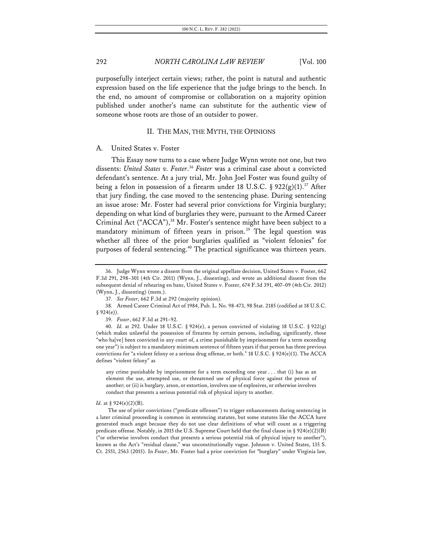purposefully interject certain views; rather, the point is natural and authentic expression based on the life experience that the judge brings to the bench. In the end, no amount of compromise or collaboration on a majority opinion published under another's name can substitute for the authentic view of someone whose roots are those of an outsider to power.

### II. THE MAN, THE MYTH, THE OPINIONS

#### A. United States v. Foster

This Essay now turns to a case where Judge Wynn wrote not one, but two dissents: *United States v. Foster*. <sup>36</sup> *Foster* was a criminal case about a convicted defendant's sentence. At a jury trial, Mr. John Joel Foster was found guilty of being a felon in possession of a firearm under 18 U.S.C. § 922(g)(1).<sup>37</sup> After that jury finding, the case moved to the sentencing phase. During sentencing an issue arose: Mr. Foster had several prior convictions for Virginia burglary; depending on what kind of burglaries they were, pursuant to the Armed Career Criminal Act ("ACCA"),<sup>38</sup> Mr. Foster's sentence might have been subject to a mandatory minimum of fifteen years in prison.<sup>39</sup> The legal question was whether all three of the prior burglaries qualified as "violent felonies" for purposes of federal sentencing.<sup>40</sup> The practical significance was thirteen years.

any crime punishable by imprisonment for a term exceeding one year . . . that (i) has as an element the use, attempted use, or threatened use of physical force against the person of another; or (ii) is burglary, arson, or extortion, involves use of explosives, or otherwise involves conduct that presents a serious potential risk of physical injury to another.

#### *Id.* at § 924(e)(2)(B).

The use of prior convictions ("predicate offenses") to trigger enhancements during sentencing in a later criminal proceeding is common in sentencing statutes, but some statutes like the ACCA have generated much angst because they do not use clear definitions of what will count as a triggering predicate offense. Notably, in 2015 the U.S. Supreme Court held that the final clause in § 924(e)(2)(B) ("or otherwise involves conduct that presents a serious potential risk of physical injury to another"), known as the Act's "residual clause," was unconstitutionally vague. Johnson v. United States, 135 S. Ct. 2551, 2563 (2015). In *Foster*, Mr. Foster had a prior conviction for "burglary" under Virginia law,

<sup>36.</sup> Judge Wynn wrote a dissent from the original appellate decision, United States v. Foster, 662 F.3d 291, 298–301 (4th Cir. 2011) (Wynn, J., dissenting), and wrote an additional dissent from the subsequent denial of rehearing en banc, United States v. Foster, 674 F.3d 391, 407–09 (4th Cir. 2012) (Wynn, J., dissenting) (mem.).

<sup>37.</sup> *See Foster*, 662 F.3d at 292 (majority opinion).

<sup>38.</sup> Armed Career Criminal Act of 1984, Pub. L. No. 98-473, 98 Stat. 2185 (codified at 18 U.S.C.  $§ 924(e)$ .

<sup>39.</sup> *Foster*, 662 F.3d at 291–92.

<sup>40.</sup> *Id.* at 292. Under 18 U.S.C. § 924(e), a person convicted of violating 18 U.S.C. § 922(g) (which makes unlawful the possession of firearms by certain persons, including, significantly, those "who ha[ve] been convicted in any court of, a crime punishable by imprisonment for a term exceeding one year") is subject to a mandatory minimum sentence of fifteen years if that person has three previous convictions for "a violent felony or a serious drug offense, or both." 18 U.S.C. § 924(e)(1). The ACCA defines "violent felony" as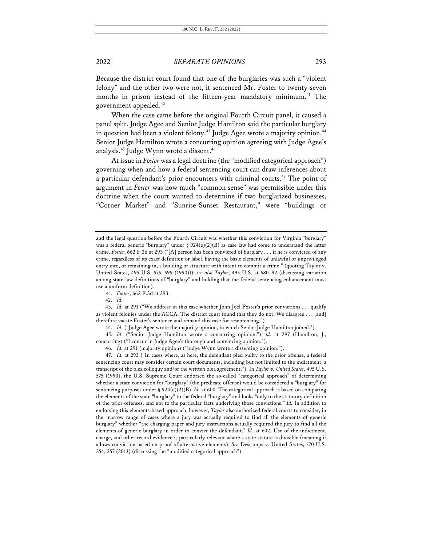Because the district court found that one of the burglaries was such a "violent felony" and the other two were not, it sentenced Mr. Foster to twenty-seven months in prison instead of the fifteen-year mandatory minimum.<sup>41</sup> The government appealed.42

When the case came before the original Fourth Circuit panel, it caused a panel split. Judge Agee and Senior Judge Hamilton said the particular burglary in question had been a violent felony.<sup>43</sup> Judge Agee wrote a majority opinion.<sup>44</sup> Senior Judge Hamilton wrote a concurring opinion agreeing with Judge Agee's analysis.<sup>45</sup> Judge Wynn wrote a dissent.<sup>46</sup>

At issue in *Foster* was a legal doctrine (the "modified categorical approach") governing when and how a federal sentencing court can draw inferences about a particular defendant's prior encounters with criminal courts.<sup>47</sup> The point of argument in *Foster* was how much "common sense" was permissible under this doctrine when the court wanted to determine if two burglarized businesses, "Corner Market" and "Sunrise-Sunset Restaurant," were "buildings or

42. *Id.*

43. *Id.* at 291 ("We address in this case whether John Joel Foster's prior convictions . . . qualify as violent felonies under the ACCA. The district court found that they do not. We disagree . . . [and] therefore vacate Foster's sentence and remand this case for resentencing.").

44. *Id.* ("Judge Agee wrote the majority opinion, in which Senior Judge Hamilton joined.").

45. *Id.* ("Senior Judge Hamilton wrote a concurring opinion."); *id.* at 297 (Hamilton, J., concurring) ("I concur in Judge Agee's thorough and convincing opinion.").

46. *Id.* at 291 (majority opinion) ("Judge Wynn wrote a dissenting opinion.").

47. *Id.* at 293 ("In cases where, as here, the defendant pled guilty to the prior offense, a federal sentencing court may consider certain court documents, including but not limited to the indictment, a transcript of the plea colloquy and/or the written plea agreement."). In *Taylor v. United States*, 495 U.S. 575 (1990), the U.S. Supreme Court endorsed the so-called "categorical approach" of determining whether a state conviction for "burglary" (the predicate offense) would be considered a "burglary" for sentencing purposes under § 924(e)(2)(B). *Id.* at 600. The categorical approach is based on comparing the elements of the state "burglary" to the federal "burglary" and looks "only to the statutory definition of the prior offenses, and not to the particular facts underlying those convictions." *Id.* In addition to endorsing this elements-based approach, however, *Taylor* also authorized federal courts to consider, in the "narrow range of cases where a jury was actually required to find all the elements of generic burglary" whether "the charging paper and jury instructions actually required the jury to find all the elements of generic burglary in order to convict the defendant." *Id.* at 602. Use of the indictment, charge, and other record evidence is particularly relevant where a state statute is divisible (meaning it allows conviction based on proof of alternative elements). *See* Descamps v. United States, 570 U.S. 254, 257 (2013) (discussing the "modified categorical approach").

and the legal question before the Fourth Circuit was whether this conviction for Virginia "burglary" was a federal generic "burglary" under § 924(e)(2)(B) as case law had come to understand the latter crime. *Foster*, 662 F.3d at 293 ("[A] person has been convicted of burglary . . . if he is convicted of any crime, regardless of its exact definition or label, having the basic elements of unlawful or unprivileged entry into, or remaining in, a building or structure with intent to commit a crime." (quoting Taylor v. United States, 495 U.S. 575, 599 (1990))); *see also Taylor*, 495 U.S. at 580–92 (discussing variation among state-law definitions of "burglary" and holding that the federal sentencing enhancement must use a uniform definition).

<sup>41.</sup> *Foster*, 662 F.3d at 293.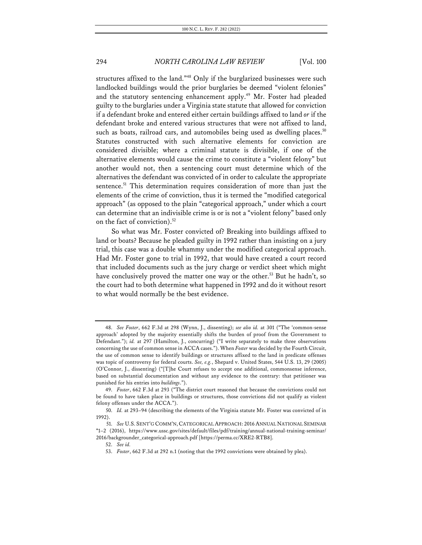structures affixed to the land."48 Only if the burglarized businesses were such landlocked buildings would the prior burglaries be deemed "violent felonies" and the statutory sentencing enhancement apply.<sup>49</sup> Mr. Foster had pleaded guilty to the burglaries under a Virginia state statute that allowed for conviction if a defendant broke and entered either certain buildings affixed to land *or* if the defendant broke and entered various structures that were not affixed to land, such as boats, railroad cars, and automobiles being used as dwelling places.<sup>50</sup> Statutes constructed with such alternative elements for conviction are considered divisible; where a criminal statute is divisible, if one of the alternative elements would cause the crime to constitute a "violent felony" but another would not, then a sentencing court must determine which of the alternatives the defendant was convicted of in order to calculate the appropriate sentence.<sup>51</sup> This determination requires consideration of more than just the elements of the crime of conviction, thus it is termed the "modified categorical approach" (as opposed to the plain "categorical approach," under which a court can determine that an indivisible crime is or is not a "violent felony" based only on the fact of conviction).<sup>52</sup>

So what was Mr. Foster convicted of? Breaking into buildings affixed to land or boats? Because he pleaded guilty in 1992 rather than insisting on a jury trial, this case was a double whammy under the modified categorical approach. Had Mr. Foster gone to trial in 1992, that would have created a court record that included documents such as the jury charge or verdict sheet which might have conclusively proved the matter one way or the other.<sup>53</sup> But he hadn't, so the court had to both determine what happened in 1992 and do it without resort to what would normally be the best evidence.

<sup>48.</sup> *See Foster*, 662 F.3d at 298 (Wynn, J., dissenting); *see also id.* at 301 ("The 'common-sense approach' adopted by the majority essentially shifts the burden of proof from the Government to Defendant."); *id.* at 297 (Hamilton, J., concurring) ("I write separately to make three observations concerning the use of common sense in ACCA cases."). When *Foster* was decided by the Fourth Circuit, the use of common sense to identify buildings or structures affixed to the land in predicate offenses was topic of controversy for federal courts. *See, e.g.*, Shepard v. United States, 544 U.S. 13, 29 (2005) (O'Connor, J., dissenting) ("[T]he Court refuses to accept one additional, commonsense inference, based on substantial documentation and without any evidence to the contrary: that petitioner was punished for his entries into *buildings*.").

<sup>49.</sup> *Foster*, 662 F.3d at 293 ("The district court reasoned that because the convictions could not be found to have taken place in buildings or structures, those convictions did not qualify as violent felony offenses under the ACCA.").

<sup>50.</sup> *Id.* at 293–94 (describing the elements of the Virginia statute Mr. Foster was convicted of in 1992).

<sup>51.</sup> *See* U.S. SENT'G COMM'N,CATEGORICAL APPROACH: 2016ANNUAL NATIONAL SEMINAR \*1–2 (2016), https://www.ussc.gov/sites/default/files/pdf/training/annual-national-training-seminar/ 2016/backgrounder\_categorical-approach.pdf [https://perma.cc/XRE2-RTB8].

<sup>52.</sup> *See id.*

<sup>53.</sup> *Foster*, 662 F.3d at 292 n.1 (noting that the 1992 convictions were obtained by plea).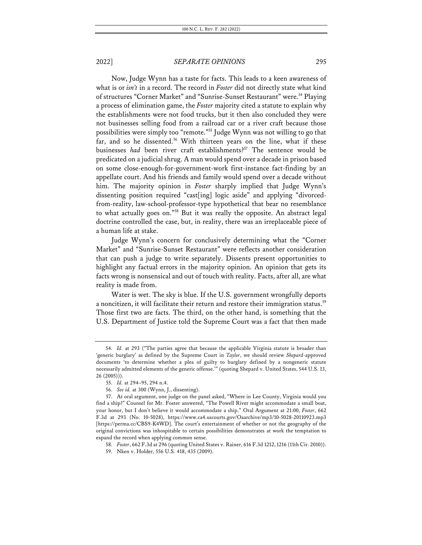Now, Judge Wynn has a taste for facts. This leads to a keen awareness of what is or *isn't* in a record. The record in *Foster* did not directly state what kind of structures "Corner Market" and "Sunrise-Sunset Restaurant" were.<sup>54</sup> Playing a process of elimination game, the *Foster* majority cited a statute to explain why the establishments were not food trucks, but it then also concluded they were not businesses selling food from a railroad car or a river craft because those possibilities were simply too "remote."55 Judge Wynn was not willing to go that far, and so he dissented.<sup>56</sup> With thirteen years on the line, what if these businesses *had* been river craft establishments?<sup>57</sup> The sentence would be predicated on a judicial shrug. A man would spend over a decade in prison based on some close-enough-for-government-work first-instance fact-finding by an appellate court. And his friends and family would spend over a decade without him. The majority opinion in *Foster* sharply implied that Judge Wynn's dissenting position required "cast[ing] logic aside" and applying "divorcedfrom-reality, law-school-professor-type hypothetical that bear no resemblance to what actually goes on."58 But it was really the opposite. An abstract legal doctrine controlled the case, but, in reality, there was an irreplaceable piece of a human life at stake.

Judge Wynn's concern for conclusively determining what the "Corner Market" and "Sunrise-Sunset Restaurant" were reflects another consideration that can push a judge to write separately. Dissents present opportunities to highlight any factual errors in the majority opinion. An opinion that gets its facts wrong is nonsensical and out of touch with reality. Facts, after all, are what reality is made from.

Water is wet. The sky is blue. If the U.S. government wrongfully deports a noncitizen, it will facilitate their return and restore their immigration status.<sup>59</sup> Those first two are facts. The third, on the other hand, is something that the U.S. Department of Justice told the Supreme Court was a fact that then made

<sup>54.</sup> *Id.* at 293 ("The parties agree that because the applicable Virginia statute is broader than 'generic burglary' as defined by the Supreme Court in *Taylor*, we should review *Shepard*-approved documents 'to determine whether a plea of guilty to burglary defined by a nongeneric statute necessarily admitted elements of the generic offense.'" (quoting Shepard v. United States, 544 U.S. 13, 26 (2005))).

<sup>55.</sup> *Id.* at 294–95, 294 n.4.

<sup>56.</sup> *See id.* at 300 (Wynn, J., dissenting).

<sup>57.</sup> At oral argument, one judge on the panel asked, "Where in Lee County, Virginia would you find a ship?" Counsel for Mr. Foster answered, "The Powell River might accommodate a small boat, your honor, but I don't believe it would accommodate a ship." Oral Argument at 21:00, *Foster*, 662 F.3d at 293 (No. 10-5028), https://www.ca4.uscourts.gov/Oaarchive/mp3/10-5028-20110923.mp3 [https://perma.cc/CBS9-K4WD]. The court's entertainment of whether or not the geography of the original convictions was inhospitable to certain possibilities demonstrates at work the temptation to expand the record when applying common sense.

<sup>58.</sup> *Foster*, 662 F.3d at 296 (quoting United States v. Rainer, 616 F.3d 1212, 1216 (11th Cir. 2010)).

<sup>59.</sup> Nken v. Holder, 556 U.S. 418, 435 (2009).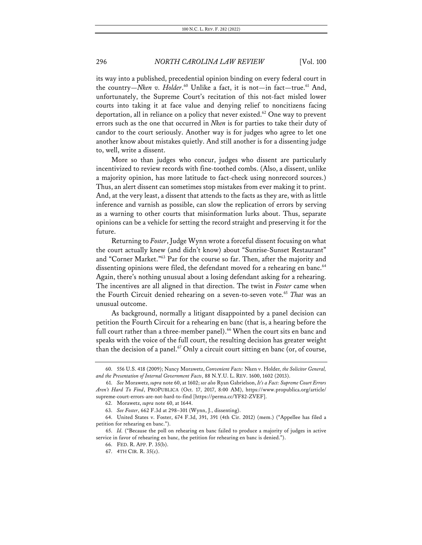its way into a published, precedential opinion binding on every federal court in the country—*Nken v. Holder*.<sup>60</sup> Unlike a fact, it is not—in fact—true.<sup>61</sup> And, unfortunately, the Supreme Court's recitation of this not-fact misled lower courts into taking it at face value and denying relief to noncitizens facing deportation, all in reliance on a policy that never existed.<sup>62</sup> One way to prevent errors such as the one that occurred in *Nken* is for parties to take their duty of candor to the court seriously. Another way is for judges who agree to let one another know about mistakes quietly. And still another is for a dissenting judge to, well, write a dissent.

More so than judges who concur, judges who dissent are particularly incentivized to review records with fine-toothed combs. (Also, a dissent, unlike a majority opinion, has more latitude to fact-check using nonrecord sources.) Thus, an alert dissent can sometimes stop mistakes from ever making it to print. And, at the very least, a dissent that attends to the facts as they are, with as little inference and varnish as possible, can slow the replication of errors by serving as a warning to other courts that misinformation lurks about. Thus, separate opinions can be a vehicle for setting the record straight and preserving it for the future.

Returning to *Foster*, Judge Wynn wrote a forceful dissent focusing on what the court actually knew (and didn't know) about "Sunrise-Sunset Restaurant" and "Corner Market."63 Par for the course so far. Then, after the majority and dissenting opinions were filed, the defendant moved for a rehearing en banc.<sup>64</sup> Again, there's nothing unusual about a losing defendant asking for a rehearing. The incentives are all aligned in that direction. The twist in *Foster* came when the Fourth Circuit denied rehearing on a seven-to-seven vote.<sup>65</sup> That was an unusual outcome.

As background, normally a litigant disappointed by a panel decision can petition the Fourth Circuit for a rehearing en banc (that is, a hearing before the full court rather than a three-member panel).<sup>66</sup> When the court sits en banc and speaks with the voice of the full court, the resulting decision has greater weight than the decision of a panel. $67$  Only a circuit court sitting en banc (or, of course,

<sup>60.</sup> 556 U.S. 418 (2009); Nancy Morawetz, *Convenient Facts:* Nken v. Holder*, the Solicitor General, and the Presentation of Internal Government Facts*, 88 N.Y.U. L. REV. 1600, 1602 (2013).

<sup>61.</sup> *See* Morawetz, *supra* note 60, at 1602; *see also* Ryan Gabrielson, *It's a Fact: Supreme Court Errors Aren't Hard To Find*, PROPUBLICA (Oct. 17, 2017, 8:00 AM), https://www.propublica.org/article/ supreme-court-errors-are-not-hard-to-find [https://perma.cc/YF82-ZVEF].

<sup>62.</sup> Morawetz, *supra* note 60, at 1644.

<sup>63.</sup> *See Foster*, 662 F.3d at 298–301 (Wynn, J., dissenting).

<sup>64.</sup> United States v. Foster, 674 F.3d, 391, 391 (4th Cir. 2012) (mem.) ("Appellee has filed a petition for rehearing en banc.").

<sup>65.</sup> *Id.* ("Because the poll on rehearing en banc failed to produce a majority of judges in active service in favor of rehearing en banc, the petition for rehearing en banc is denied.").

<sup>66.</sup> FED. R. APP. P. 35(b).

<sup>67.</sup> 4TH CIR. R. 35(c).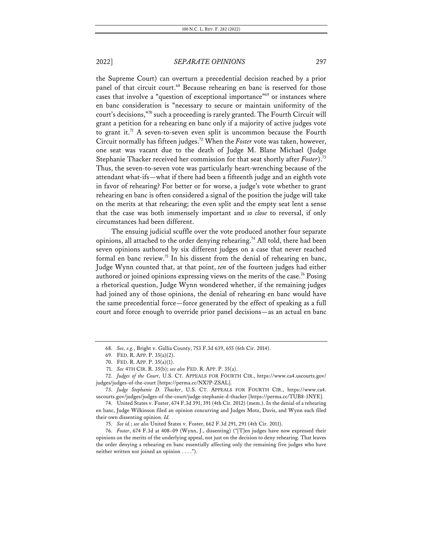the Supreme Court) can overturn a precedential decision reached by a prior panel of that circuit court.<sup>68</sup> Because rehearing en banc is reserved for those cases that involve a "question of exceptional importance"<sup>69</sup> or instances where en banc consideration is "necessary to secure or maintain uniformity of the court's decisions,"70 such a proceeding is rarely granted. The Fourth Circuit will grant a petition for a rehearing en banc only if a majority of active judges vote to grant it.<sup>71</sup> A seven-to-seven even split is uncommon because the Fourth Circuit normally has fifteen judges.72 When the *Foster* vote was taken, however, one seat was vacant due to the death of Judge M. Blane Michael (Judge Stephanie Thacker received her commission for that seat shortly after *Foster*).73 Thus, the seven-to-seven vote was particularly heart-wrenching because of the attendant what-ifs—what if there had been a fifteenth judge and an eighth vote in favor of rehearing? For better or for worse, a judge's vote whether to grant rehearing en banc is often considered a signal of the position the judge will take on the merits at that rehearing; the even split and the empty seat lent a sense that the case was both immensely important and *so close* to reversal, if only circumstances had been different.

The ensuing judicial scuffle over the vote produced another four separate opinions, all attached to the order denying rehearing.<sup>74</sup> All told, there had been seven opinions authored by six different judges on a case that never reached formal en banc review.75 In his dissent from the denial of rehearing en banc, Judge Wynn counted that, at that point, *ten* of the fourteen judges had either authored or joined opinions expressing views on the merits of the case.<sup>76</sup> Posing a rhetorical question, Judge Wynn wondered whether, if the remaining judges had joined any of those opinions, the denial of rehearing en banc would have the same precedential force—force generated by the effect of speaking as a full court and force enough to override prior panel decisions—as an actual en banc

<sup>68.</sup> *See, e.g.*, Bright v. Gallia County, 753 F.3d 639, 655 (6th Cir. 2014).

<sup>69.</sup> FED. R. APP. P. 35(a)(2).

<sup>70.</sup> FED. R. APP. P. 35(a)(1).

<sup>71.</sup> *See* 4TH CIR. R. 35(b); *see also* FED. R. APP. P. 35(a).

<sup>72.</sup> *Judges of the Court*, U.S. CT. APPEALS FOR FOURTH CIR., https://www.ca4.uscourts.gov/ judges/judges-of-the-court [https://perma.cc/NX7P-ZSAL].

<sup>73.</sup> *Judge Stephanie D. Thacker*, U.S. CT. APPEALS FOR FOURTH CIR., https://www.ca4. uscourts.gov/judges/judges-of-the-court/judge-stephanie-d-thacker [https://perma.cc/TUB8-3NYE].

<sup>74.</sup> United States v. Foster, 674 F.3d 391, 391 (4th Cir. 2012) (mem.). In the denial of a rehearing en banc, Judge Wilkinson filed an opinion concurring and Judges Motz, Davis, and Wynn each filed their own dissenting opinion. *Id.*

<sup>75.</sup> *See id.*; *see also* United States v. Foster, 662 F.3d 291, 291 (4th Cir. 2011).

<sup>76.</sup> *Foster*, 674 F.3d at 408–09 (Wynn, J., dissenting) ("[T]en judges have now expressed their opinions on the merits of the underlying appeal, not just on the decision to deny rehearing. That leaves the order denying a rehearing en banc essentially affecting only the remaining five judges who have neither written nor joined an opinion . . . .").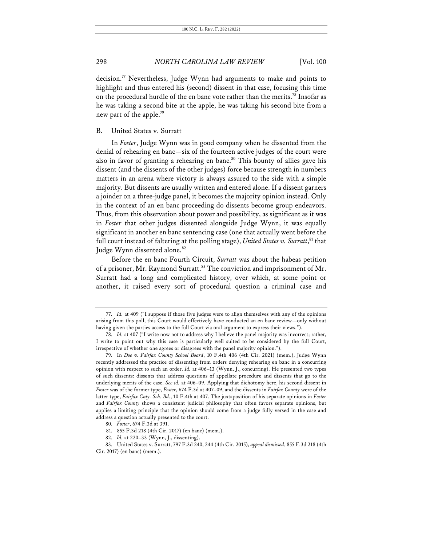decision.77 Nevertheless, Judge Wynn had arguments to make and points to highlight and thus entered his (second) dissent in that case, focusing this time on the procedural hurdle of the en banc vote rather than the merits.<sup>78</sup> Insofar as he was taking a second bite at the apple, he was taking his second bite from a new part of the apple.79

### B. United States v. Surratt

In *Foster*, Judge Wynn was in good company when he dissented from the denial of rehearing en banc—six of the fourteen active judges of the court were also in favor of granting a rehearing en banc.<sup>80</sup> This bounty of allies gave his dissent (and the dissents of the other judges) force because strength in numbers matters in an arena where victory is always assured to the side with a simple majority. But dissents are usually written and entered alone. If a dissent garners a joinder on a three-judge panel, it becomes the majority opinion instead. Only in the context of an en banc proceeding do dissents become group endeavors. Thus, from this observation about power and possibility, as significant as it was in *Foster* that other judges dissented alongside Judge Wynn, it was equally significant in another en banc sentencing case (one that actually went before the full court instead of faltering at the polling stage), United States v. Surratt, <sup>81</sup> that Judge Wynn dissented alone.<sup>82</sup>

Before the en banc Fourth Circuit, *Surratt* was about the habeas petition of a prisoner, Mr. Raymond Surratt.<sup>83</sup> The conviction and imprisonment of Mr. Surratt had a long and complicated history, over which, at some point or another, it raised every sort of procedural question a criminal case and

<sup>77.</sup> *Id.* at 409 ("I suppose if those five judges were to align themselves with any of the opinions arising from this poll, this Court would effectively have conducted an en banc review—only without having given the parties access to the full Court via oral argument to express their views.").

<sup>78.</sup> *Id.* at 407 ("I write now not to address why I believe the panel majority was incorrect; rather, I write to point out why this case is particularly well suited to be considered by the full Court, irrespective of whether one agrees or disagrees with the panel majority opinion.").

<sup>79.</sup> In *Doe v. Fairfax County School Board*, 10 F.4th 406 (4th Cir. 2021) (mem.), Judge Wynn recently addressed the practice of dissenting from orders denying rehearing en banc in a concurring opinion with respect to such an order. *Id.* at 406–13 (Wynn, J., concurring). He presented two types of such dissents: dissents that address questions of appellate procedure and dissents that go to the underlying merits of the case. *See id.* at 406–09. Applying that dichotomy here, his second dissent in *Foster* was of the former type, *Foster*, 674 F.3d at 407–09, and the dissents in *Fairfax County* were of the latter type, *Fairfax Cnty. Sch. Bd.*, 10 F.4th at 407. The juxtaposition of his separate opinions in *Foster*  and *Fairfax County* shows a consistent judicial philosophy that often favors separate opinions, but applies a limiting principle that the opinion should come from a judge fully versed in the case and address a question actually presented to the court.

<sup>80.</sup> *Foster*, 674 F.3d at 391.

<sup>81.</sup> 855 F.3d 218 (4th Cir. 2017) (en banc) (mem.).

<sup>82.</sup> *Id.* at 220–33 (Wynn, J., dissenting).

<sup>83.</sup> United States v. Surratt, 797 F.3d 240, 244 (4th Cir. 2015), *appeal dismissed*, 855 F.3d 218 (4th Cir. 2017) (en banc) (mem.).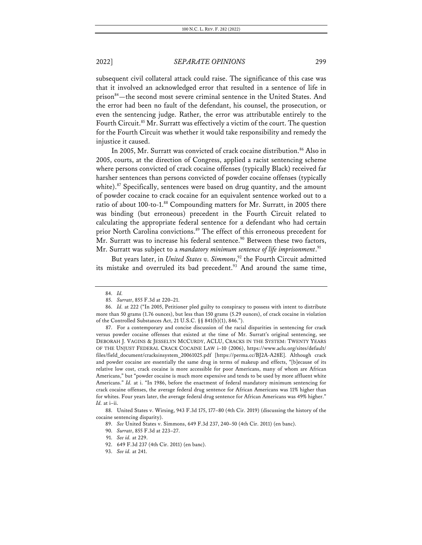subsequent civil collateral attack could raise. The significance of this case was that it involved an acknowledged error that resulted in a sentence of life in prison<sup>84</sup>—the second most severe criminal sentence in the United States. And the error had been no fault of the defendant, his counsel, the prosecution, or even the sentencing judge. Rather, the error was attributable entirely to the Fourth Circuit.<sup>85</sup> Mr. Surratt was effectively a victim of the court. The question for the Fourth Circuit was whether it would take responsibility and remedy the injustice it caused.

In 2005, Mr. Surratt was convicted of crack cocaine distribution.<sup>86</sup> Also in 2005, courts, at the direction of Congress, applied a racist sentencing scheme where persons convicted of crack cocaine offenses (typically Black) received far harsher sentences than persons convicted of powder cocaine offenses (typically white).<sup>87</sup> Specifically, sentences were based on drug quantity, and the amount of powder cocaine to crack cocaine for an equivalent sentence worked out to a ratio of about 100-to-1.<sup>88</sup> Compounding matters for Mr. Surratt, in 2005 there was binding (but erroneous) precedent in the Fourth Circuit related to calculating the appropriate federal sentence for a defendant who had certain prior North Carolina convictions.<sup>89</sup> The effect of this erroneous precedent for Mr. Surratt was to increase his federal sentence.<sup>90</sup> Between these two factors, Mr. Surratt was subject to a *mandatory minimum sentence of life imprisonment*. 91

But years later, in *United States v. Simmons*, <sup>92</sup> the Fourth Circuit admitted its mistake and overruled its bad precedent.<sup>93</sup> And around the same time,

<sup>84.</sup> *Id.*

<sup>85.</sup> *Surratt*, 855 F.3d at 220–21.

<sup>86.</sup> *Id.* at 222 ("In 2005, Petitioner pled guilty to conspiracy to possess with intent to distribute more than 50 grams (1.76 ounces), but less than 150 grams (5.29 ounces), of crack cocaine in violation of the Controlled Substances Act, 21 U.S.C. §§ 841(b)(1), 846.").

<sup>87.</sup> For a contemporary and concise discussion of the racial disparities in sentencing for crack versus powder cocaine offenses that existed at the time of Mr. Surratt's original sentencing, see DEBORAH J. VAGINS & JESSELYN MCCURDY, ACLU, CRACKS IN THE SYSTEM: TWENTY YEARS OF THE UNJUST FEDERAL CRACK COCAINE LAW i–10 (2006), https://www.aclu.org/sites/default/ files/field\_document/cracksinsystem\_20061025.pdf [https://perma.cc/BJ2A-A28E]. Although crack and powder cocaine are essentially the same drug in terms of makeup and effects, "[b]ecause of its relative low cost, crack cocaine is more accessible for poor Americans, many of whom are African Americans," but "powder cocaine is much more expensive and tends to be used by more affluent white Americans." *Id.* at i. "In 1986, before the enactment of federal mandatory minimum sentencing for crack cocaine offenses, the average federal drug sentence for African Americans was 11% higher than for whites. Four years later, the average federal drug sentence for African Americans was 49% higher." *Id.* at i–ii.

<sup>88.</sup> United States v. Wirsing, 943 F.3d 175, 177–80 (4th Cir. 2019) (discussing the history of the cocaine sentencing disparity).

<sup>89.</sup> *See* United States v. Simmons, 649 F.3d 237, 240–50 (4th Cir. 2011) (en banc).

<sup>90.</sup> *Surratt*, 855 F.3d at 223–27.

<sup>91.</sup> *See id.* at 229.

<sup>92.</sup> 649 F.3d 237 (4th Cir. 2011) (en banc).

<sup>93.</sup> *See id.* at 241.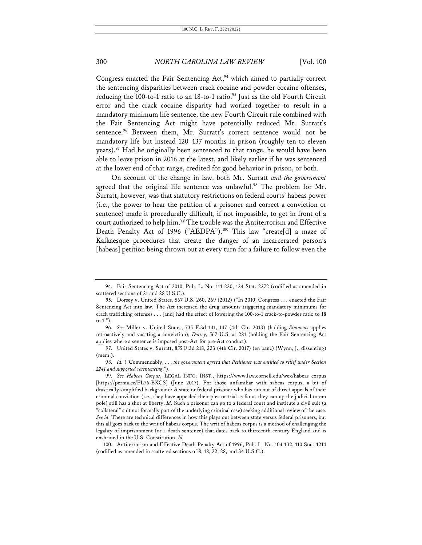Congress enacted the Fair Sentencing  $Act<sub>2</sub><sup>94</sup>$  which aimed to partially correct the sentencing disparities between crack cocaine and powder cocaine offenses, reducing the 100-to-1 ratio to an 18-to-1 ratio.<sup>95</sup> Just as the old Fourth Circuit error and the crack cocaine disparity had worked together to result in a mandatory minimum life sentence, the new Fourth Circuit rule combined with the Fair Sentencing Act might have potentially reduced Mr. Surratt's sentence.<sup>96</sup> Between them, Mr. Surratt's correct sentence would not be mandatory life but instead 120–137 months in prison (roughly ten to eleven years).<sup>97</sup> Had he originally been sentenced to that range, he would have been able to leave prison in 2016 at the latest, and likely earlier if he was sentenced at the lower end of that range, credited for good behavior in prison, or both.

On account of the change in law, both Mr. Surratt *and the government* agreed that the original life sentence was unlawful.<sup>98</sup> The problem for Mr. Surratt, however, was that statutory restrictions on federal courts' habeas power (i.e., the power to hear the petition of a prisoner and correct a conviction or sentence) made it procedurally difficult, if not impossible, to get in front of a court authorized to help him.<sup>99</sup> The trouble was the Antiterrorism and Effective Death Penalty Act of 1996 ("AEDPA").<sup>100</sup> This law "create[d] a maze of Kafkaesque procedures that create the danger of an incarcerated person's [habeas] petition being thrown out at every turn for a failure to follow even the

<sup>94.</sup> Fair Sentencing Act of 2010, Pub. L. No. 111-220, 124 Stat. 2372 (codified as amended in scattered sections of 21 and 28 U.S.C.).

<sup>95.</sup> Dorsey v. United States, 567 U.S. 260, 269 (2012) ("In 2010, Congress . . . enacted the Fair Sentencing Act into law. The Act increased the drug amounts triggering mandatory minimums for crack trafficking offenses . . . [and] had the effect of lowering the 100-to-1 crack-to-powder ratio to 18 to 1.").

<sup>96.</sup> *See* Miller v. United States, 735 F.3d 141, 147 (4th Cir. 2013) (holding *Simmons* applies retroactively and vacating a conviction); *Dorsey*, 567 U.S. at 281 (holding the Fair Sentencing Act applies where a sentence is imposed post-Act for pre-Act conduct).

<sup>97.</sup> United States v. Surratt, 855 F.3d 218, 223 (4th Cir. 2017) (en banc) (Wynn, J., dissenting) (mem.).

<sup>98.</sup> *Id.* ("Commendably, . . . *the government agreed that Petitioner was entitled to relief under Section 2241 and supported resentencing*.").

<sup>99.</sup> *See Habeas Corpus*, LEGAL INFO. INST., https://www.law.cornell.edu/wex/habeas\_corpus [https://perma.cc/FL76-BXCS] (June 2017). For those unfamiliar with habeas corpus, a bit of drastically simplified background: A state or federal prisoner who has run out of direct appeals of their criminal conviction (i.e., they have appealed their plea or trial as far as they can up the judicial totem pole) still has a shot at liberty. *Id.* Such a prisoner can go to a federal court and institute a civil suit (a "collateral" suit not formally part of the underlying criminal case) seeking additional review of the case. *See id.* There are technical differences in how this plays out between state versus federal prisoners, but this all goes back to the writ of habeas corpus. The writ of habeas corpus is a method of challenging the legality of imprisonment (or a death sentence) that dates back to thirteenth-century England and is enshrined in the U.S. Constitution. *Id.*

<sup>100.</sup> Antiterrorism and Effective Death Penalty Act of 1996, Pub. L. No. 104-132, 110 Stat. 1214 (codified as amended in scattered sections of 8, 18, 22, 28, and 34 U.S.C.).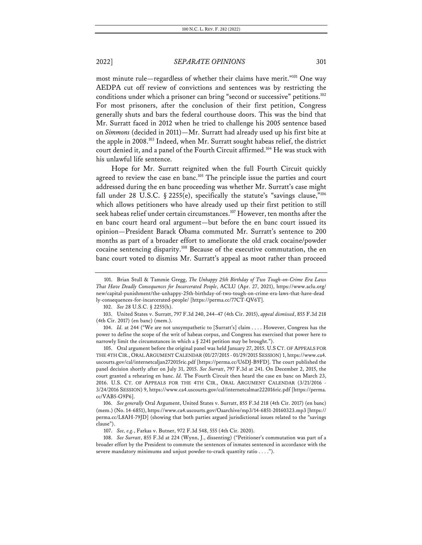most minute rule—regardless of whether their claims have merit."101 One way AEDPA cut off review of convictions and sentences was by restricting the conditions under which a prisoner can bring "second or successive" petitions.<sup>102</sup> For most prisoners, after the conclusion of their first petition, Congress generally shuts and bars the federal courthouse doors. This was the bind that Mr. Surratt faced in 2012 when he tried to challenge his 2005 sentence based on *Simmons* (decided in 2011)—Mr. Surratt had already used up his first bite at the apple in 2008.103 Indeed, when Mr. Surratt sought habeas relief, the district court denied it, and a panel of the Fourth Circuit affirmed.<sup>104</sup> He was stuck with his unlawful life sentence.

Hope for Mr. Surratt reignited when the full Fourth Circuit quickly agreed to review the case en banc.<sup>105</sup> The principle issue the parties and court addressed during the en banc proceeding was whether Mr. Surratt's case might fall under 28 U.S.C. § 2255(e), specifically the statute's "savings clause,"106 which allows petitioners who have already used up their first petition to still seek habeas relief under certain circumstances.<sup>107</sup> However, ten months after the en banc court heard oral argument—but before the en banc court issued its opinion—President Barack Obama commuted Mr. Surratt's sentence to 200 months as part of a broader effort to ameliorate the old crack cocaine/powder cocaine sentencing disparity.108 Because of the executive commutation, the en banc court voted to dismiss Mr. Surratt's appeal as moot rather than proceed

104. *Id.* at 244 ("We are not unsympathetic to [Surratt's] claim . . . . However, Congress has the power to define the scope of the writ of habeas corpus, and Congress has exercised that power here to narrowly limit the circumstances in which a § 2241 petition may be brought.").

105. Oral argument before the original panel was held January 27, 2015. U.S CT. OF APPEALS FOR THE 4TH CIR., ORAL ARGUMENT CALENDAR (01/27/2015 - 01/29/2015 SESSION) 1, https://www.ca4. uscourts.gov/cal/internetcaljan272015ric.pdf [https://perma.cc/U6DJ-B9FD]. The court published the panel decision shortly after on July 31, 2015. *See Surratt*, 797 F.3d at 241. On December 2, 2015, the court granted a rehearing en banc. *Id.* The Fourth Circuit then heard the case en banc on March 23, 2016. U.S. CT. OF APPEALS FOR THE 4TH CIR., ORAL ARGUMENT CALENDAR (3/21/2016 - 3/24/2016 SESSION) 9, https://www.ca4.uscourts.gov/cal/internetcalmar222016ric.pdf [https://perma. cc/VAB5-G9P6].

106. *See generally* Oral Argument, United States v. Surratt, 855 F.3d 218 (4th Cir. 2017) (en banc) (mem.) (No. 14-6851), https://www.ca4.uscourts.gov/Oaarchive/mp3/14-6851-20160323.mp3 [https:// perma.cc/L8AH-79JD] (showing that both parties argued jurisdictional issues related to the "savings clause").

108. *See Surratt*, 855 F.3d at 224 (Wynn, J., dissenting) ("Petitioner's commutation was part of a broader effort by the President to commute the sentences of inmates sentenced in accordance with the severe mandatory minimums and unjust powder-to-crack quantity ratio . . . .").

<sup>101.</sup> Brian Stull & Tammie Gregg, *The Unhappy 25th Birthday of Two Tough-on-Crime Era Laws That Have Deadly Consequences for Incarcerated People*, ACLU (Apr. 27, 2021), https://www.aclu.org/ new/capital-punishment/the-unhappy-25th-birthday-of-two-tough-on-crime-era-laws-that-have-dead ly-consequences-for-incarcerated-people/ [https://perma.cc/77CT-QV6T].

<sup>102.</sup> *See* 28 U.S.C. § 2255(h).

<sup>103.</sup> United States v. Surratt, 797 F.3d 240, 244–47 (4th Cir. 2015), *appeal dismissed*, 855 F.3d 218 (4th Cir. 2017) (en banc) (mem.).

<sup>107.</sup> *See, e.g.*, Farkas v. Butner, 972 F.3d 548, 555 (4th Cir. 2020).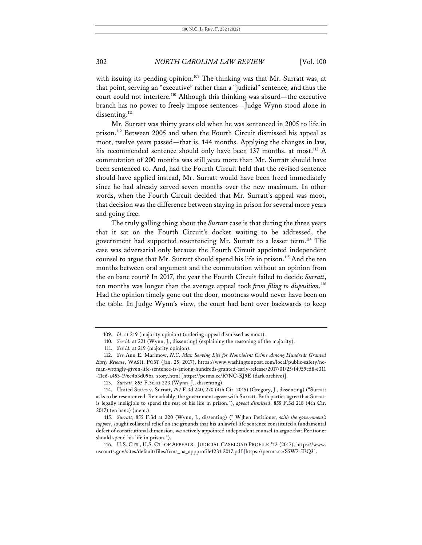with issuing its pending opinion.<sup>109</sup> The thinking was that Mr. Surratt was, at that point, serving an "executive" rather than a "judicial" sentence, and thus the court could not interfere.<sup>110</sup> Although this thinking was absurd—the executive branch has no power to freely impose sentences—Judge Wynn stood alone in dissenting.<sup>111</sup>

Mr. Surratt was thirty years old when he was sentenced in 2005 to life in prison.<sup>112</sup> Between 2005 and when the Fourth Circuit dismissed his appeal as moot, twelve years passed—that is, 144 months. Applying the changes in law, his recommended sentence should only have been 137 months, at most.<sup>113</sup> A commutation of 200 months was still *years* more than Mr. Surratt should have been sentenced to. And, had the Fourth Circuit held that the revised sentence should have applied instead, Mr. Surratt would have been freed immediately since he had already served seven months over the new maximum. In other words, when the Fourth Circuit decided that Mr. Surratt's appeal was moot, that decision was the difference between staying in prison for several more years and going free.

The truly galling thing about the *Surratt* case is that during the three years that it sat on the Fourth Circuit's docket waiting to be addressed, the government had supported resentencing Mr. Surratt to a lesser term.114 The case was adversarial only because the Fourth Circuit appointed independent counsel to argue that Mr. Surratt should spend his life in prison.<sup>115</sup> And the ten months between oral argument and the commutation without an opinion from the en banc court? In 2017, the year the Fourth Circuit failed to decide *Surratt*, ten months was longer than the average appeal took *from filing to disposition*. 116 Had the opinion timely gone out the door, mootness would never have been on the table. In Judge Wynn's view, the court had bent over backwards to keep

<sup>109.</sup> *Id.* at 219 (majority opinion) (ordering appeal dismissed as moot).

<sup>110.</sup> *See id.* at 221 (Wynn, J., dissenting) (explaining the reasoning of the majority).

<sup>111.</sup> *See id.* at 219 (majority opinion).

<sup>112.</sup> *See* Ann E. Marimow, *N.C. Man Serving Life for Nonviolent Crime Among Hundreds Granted Early Release*, WASH. POST (Jan. 25, 2017), https://www.washingtonpost.com/local/public-safety/ncman-wrongly-given-life-sentence-is-among-hundreds-granted-early-release/2017/01/25/f4959cd8-e311 -11e6-a453-19ec4b3d09ba\_story.html [https://perma.cc/R7NC-KJ9E (dark archive)].

<sup>113.</sup> *Surratt*, 855 F.3d at 223 (Wynn, J., dissenting).

<sup>114.</sup> United States v. Surratt, 797 F.3d 240, 270 (4th Cir. 2015) (Gregory, J., dissenting) ("Surratt asks to be resentenced. Remarkably, the government *agrees* with Surratt. Both parties agree that Surratt is legally ineligible to spend the rest of his life in prison."), *appeal dismissed*, 855 F.3d 218 (4th Cir. 2017) (en banc) (mem.).

<sup>115.</sup> *Surratt*, 855 F.3d at 220 (Wynn, J., dissenting) ("[W]hen Petitioner, *with the government's support*, sought collateral relief on the grounds that his unlawful life sentence constituted a fundamental defect of constitutional dimension, we actively appointed independent counsel to argue that Petitioner should spend his life in prison.").

<sup>116.</sup> U.S. CTS., U.S. CT. OF APPEALS - JUDICIAL CASELOAD PROFILE \*12 (2017), https://www. uscourts.gov/sites/default/files/fcms\_na\_appprofile1231.2017.pdf [https://perma.cc/S5W7-5EQ3].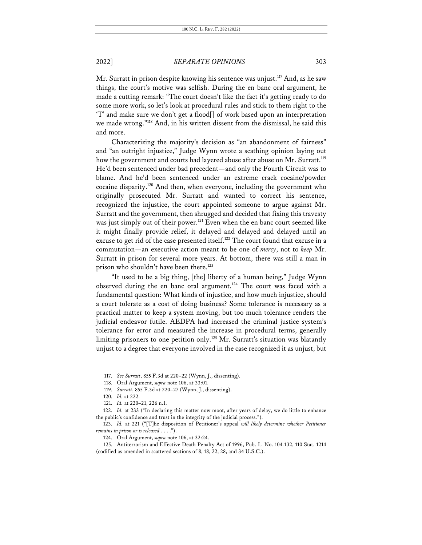Mr. Surratt in prison despite knowing his sentence was unjust.<sup>117</sup> And, as he saw things, the court's motive was selfish. During the en banc oral argument, he made a cutting remark: "The court doesn't like the fact it's getting ready to do some more work, so let's look at procedural rules and stick to them right to the 'T' and make sure we don't get a flood[] of work based upon an interpretation we made wrong."118 And, in his written dissent from the dismissal, he said this and more.

Characterizing the majority's decision as "an abandonment of fairness" and "an outright injustice," Judge Wynn wrote a scathing opinion laying out how the government and courts had layered abuse after abuse on Mr. Surratt.<sup>119</sup> He'd been sentenced under bad precedent—and only the Fourth Circuit was to blame. And he'd been sentenced under an extreme crack cocaine/powder cocaine disparity.120 And then, when everyone, including the government who originally prosecuted Mr. Surratt and wanted to correct his sentence, recognized the injustice, the court appointed someone to argue against Mr. Surratt and the government, then shrugged and decided that fixing this travesty was just simply out of their power.<sup>121</sup> Even when the en banc court seemed like it might finally provide relief, it delayed and delayed and delayed until an excuse to get rid of the case presented itself.<sup>122</sup> The court found that excuse in a commutation—an executive action meant to be one of *mercy*, not to *keep* Mr. Surratt in prison for several more years. At bottom, there was still a man in prison who shouldn't have been there.<sup>123</sup>

"It used to be a big thing, [the] liberty of a human being," Judge Wynn observed during the en banc oral argument.<sup>124</sup> The court was faced with a fundamental question: What kinds of injustice, and how much injustice, should a court tolerate as a cost of doing business? Some tolerance is necessary as a practical matter to keep a system moving, but too much tolerance renders the judicial endeavor futile. AEDPA had increased the criminal justice system's tolerance for error and measured the increase in procedural terms, generally limiting prisoners to one petition only.<sup>125</sup> Mr. Surratt's situation was blatantly unjust to a degree that everyone involved in the case recognized it as unjust, but

<sup>117.</sup> *See Surratt*, 855 F.3d at 220–22 (Wynn, J., dissenting).

<sup>118.</sup> Oral Argument, *supra* note 106, at 33:01.

<sup>119.</sup> *Surratt*, 855 F.3d at 220–27 (Wynn, J., dissenting).

<sup>120.</sup> *Id.* at 222.

<sup>121.</sup> *Id.* at 220–21, 226 n.1.

<sup>122.</sup> *Id.* at 233 ("In declaring this matter now moot, after years of delay, we do little to enhance the public's confidence and trust in the integrity of the judicial process.").

<sup>123.</sup> *Id.* at 221 ("[T]he disposition of Petitioner's appeal *will likely determine whether Petitioner remains in prison or is released* . . . .").

<sup>124.</sup> Oral Argument, *supra* note 106, at 32:24.

<sup>125.</sup> Antiterrorism and Effective Death Penalty Act of 1996, Pub. L. No. 104-132, 110 Stat. 1214 (codified as amended in scattered sections of 8, 18, 22, 28, and 34 U.S.C.).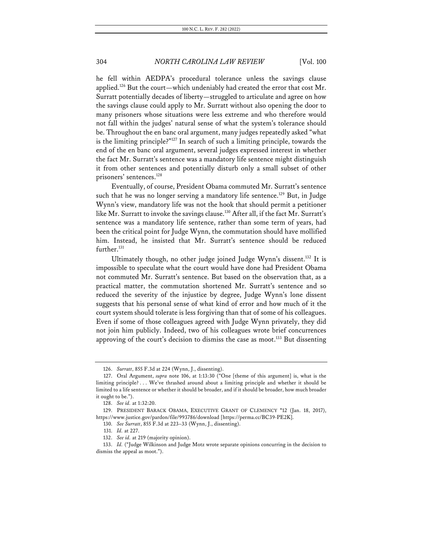he fell within AEDPA's procedural tolerance unless the savings clause applied.<sup>126</sup> But the court—which undeniably had created the error that cost Mr. Surratt potentially decades of liberty—struggled to articulate and agree on how the savings clause could apply to Mr. Surratt without also opening the door to many prisoners whose situations were less extreme and who therefore would not fall within the judges' natural sense of what the system's tolerance should be. Throughout the en banc oral argument, many judges repeatedly asked "what is the limiting principle?"127 In search of such a limiting principle, towards the end of the en banc oral argument, several judges expressed interest in whether the fact Mr. Surratt's sentence was a mandatory life sentence might distinguish it from other sentences and potentially disturb only a small subset of other prisoners' sentences.<sup>128</sup>

Eventually, of course, President Obama commuted Mr. Surratt's sentence such that he was no longer serving a mandatory life sentence.<sup>129</sup> But, in Judge Wynn's view, mandatory life was not the hook that should permit a petitioner like Mr. Surratt to invoke the savings clause.<sup>130</sup> After all, if the fact Mr. Surratt's sentence was a mandatory life sentence, rather than some term of years, had been the critical point for Judge Wynn, the commutation should have mollified him. Instead, he insisted that Mr. Surratt's sentence should be reduced further.<sup>131</sup>

Ultimately though, no other judge joined Judge Wynn's dissent.<sup>132</sup> It is impossible to speculate what the court would have done had President Obama not commuted Mr. Surratt's sentence. But based on the observation that, as a practical matter, the commutation shortened Mr. Surratt's sentence and so reduced the severity of the injustice by degree, Judge Wynn's lone dissent suggests that his personal sense of what kind of error and how much of it the court system should tolerate is less forgiving than that of some of his colleagues. Even if some of those colleagues agreed with Judge Wynn privately, they did not join him publicly. Indeed, two of his colleagues wrote brief concurrences approving of the court's decision to dismiss the case as moot.<sup>133</sup> But dissenting

- 130. *See Surratt*, 855 F.3d at 223–33 (Wynn, J., dissenting).
- 131. *Id.* at 227.

<sup>126.</sup> *Surratt*, 855 F.3d at 224 (Wynn, J., dissenting).

<sup>127.</sup> Oral Argument, *supra* note 106, at 1:13:30 ("One [theme of this argument] is, what is the limiting principle? . . . We've thrashed around about a limiting principle and whether it should be limited to a life sentence or whether it should be broader, and if it should be broader, how much broader it ought to be.").

<sup>128.</sup> *See id.* at 1:32:20.

<sup>129.</sup> PRESIDENT BARACK OBAMA, EXECUTIVE GRANT OF CLEMENCY \*12 (Jan. 18, 2017), https://www.justice.gov/pardon/file/993786/download [https://perma.cc/BC39-PE2K].

<sup>132.</sup> *See id.* at 219 (majority opinion).

<sup>133.</sup> *Id.* ("Judge Wilkinson and Judge Motz wrote separate opinions concurring in the decision to dismiss the appeal as moot.").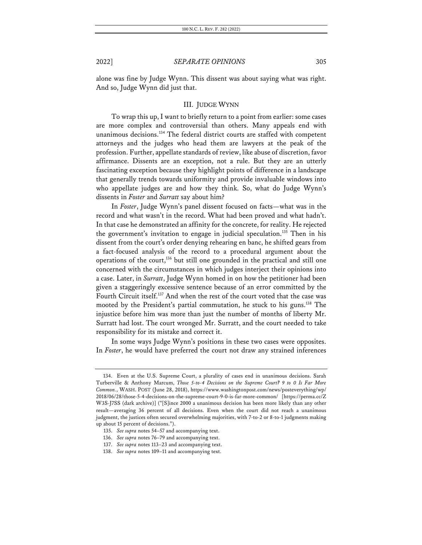alone was fine by Judge Wynn. This dissent was about saying what was right. And so, Judge Wynn did just that.

#### III. JUDGE WYNN

To wrap this up, I want to briefly return to a point from earlier: some cases are more complex and controversial than others. Many appeals end with unanimous decisions.<sup>134</sup> The federal district courts are staffed with competent attorneys and the judges who head them are lawyers at the peak of the profession. Further, appellate standards of review, like abuse of discretion, favor affirmance. Dissents are an exception, not a rule. But they are an utterly fascinating exception because they highlight points of difference in a landscape that generally trends towards uniformity and provide invaluable windows into who appellate judges are and how they think. So, what do Judge Wynn's dissents in *Foster* and *Surratt* say about him?

In *Foster*, Judge Wynn's panel dissent focused on facts—what was in the record and what wasn't in the record. What had been proved and what hadn't. In that case he demonstrated an affinity for the concrete, for reality. He rejected the government's invitation to engage in judicial speculation.135 Then in his dissent from the court's order denying rehearing en banc, he shifted gears from a fact-focused analysis of the record to a procedural argument about the operations of the court, $136$  but still one grounded in the practical and still one concerned with the circumstances in which judges interject their opinions into a case. Later, in *Surratt*, Judge Wynn homed in on how the petitioner had been given a staggeringly excessive sentence because of an error committed by the Fourth Circuit itself.137 And when the rest of the court voted that the case was mooted by the President's partial commutation, he stuck to his guns.138 The injustice before him was more than just the number of months of liberty Mr. Surratt had lost. The court wronged Mr. Surratt, and the court needed to take responsibility for its mistake and correct it.

In some ways Judge Wynn's positions in these two cases were opposites. In *Foster*, he would have preferred the court not draw any strained inferences

<sup>134.</sup> Even at the U.S. Supreme Court, a plurality of cases end in unanimous decisions. Sarah Turberville & Anthony Marcum, *Those 5-to-4 Decisions on the Supreme Court? 9 to 0 Is Far More Common.*, WASH. POST (June 28, 2018), https://www.washingtonpost.com/news/posteverything/wp/ 2018/06/28/those-5-4-decisions-on-the-supreme-court-9-0-is-far-more-common/ [https://perma.cc/Z W3S-J7SS (dark archive)] ("[S]ince 2000 a unanimous decision has been more likely than any other result—averaging 36 percent of all decisions. Even when the court did not reach a unanimous judgment, the justices often secured overwhelming majorities, with 7-to-2 or 8-to-1 judgments making up about 15 percent of decisions.").

<sup>135.</sup> *See supra* notes 54–57 and accompanying text.

<sup>136.</sup> *See supra* notes 76–79 and accompanying text.

<sup>137.</sup> *See supra* notes 113–23 and accompanying text.

<sup>138.</sup> *See supra* notes 109–11 and accompanying text.